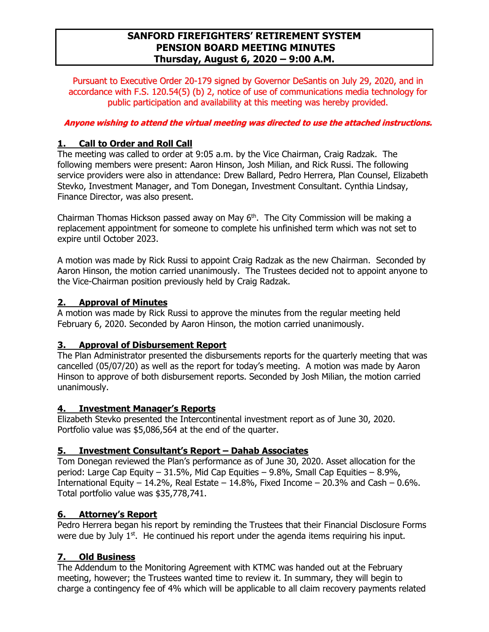# **SANFORD FIREFIGHTERS' RETIREMENT SYSTEM PENSION BOARD MEETING MINUTES Thursday, August 6, 2020 – 9:00 A.M.**

Pursuant to Executive Order 20-179 signed by Governor DeSantis on July 29, 2020, and in accordance with F.S. 120.54(5) (b) 2, notice of use of communications media technology for public participation and availability at this meeting was hereby provided.

### **Anyone wishing to attend the virtual meeting was directed to use the attached instructions.**

### **1. Call to Order and Roll Call**

The meeting was called to order at 9:05 a.m. by the Vice Chairman, Craig Radzak. The following members were present: Aaron Hinson, Josh Milian, and Rick Russi. The following service providers were also in attendance: Drew Ballard, Pedro Herrera, Plan Counsel, Elizabeth Stevko, Investment Manager, and Tom Donegan, Investment Consultant. Cynthia Lindsay, Finance Director, was also present.

Chairman Thomas Hickson passed away on May  $6<sup>th</sup>$ . The City Commission will be making a replacement appointment for someone to complete his unfinished term which was not set to expire until October 2023.

A motion was made by Rick Russi to appoint Craig Radzak as the new Chairman. Seconded by Aaron Hinson, the motion carried unanimously. The Trustees decided not to appoint anyone to the Vice-Chairman position previously held by Craig Radzak.

### **2. Approval of Minutes**

A motion was made by Rick Russi to approve the minutes from the regular meeting held February 6, 2020. Seconded by Aaron Hinson, the motion carried unanimously.

#### **3. Approval of Disbursement Report**

The Plan Administrator presented the disbursements reports for the quarterly meeting that was cancelled (05/07/20) as well as the report for today's meeting. A motion was made by Aaron Hinson to approve of both disbursement reports. Seconded by Josh Milian, the motion carried unanimously.

#### **4. Investment Manager's Reports**

Elizabeth Stevko presented the Intercontinental investment report as of June 30, 2020. Portfolio value was \$5,086,564 at the end of the quarter.

#### **5. Investment Consultant's Report – Dahab Associates**

Tom Donegan reviewed the Plan's performance as of June 30, 2020. Asset allocation for the period: Large Cap Equity – 31.5%, Mid Cap Equities – 9.8%, Small Cap Equities – 8.9%, International Equity – 14.2%, Real Estate – 14.8%, Fixed Income – 20.3% and Cash – 0.6%. Total portfolio value was \$35,778,741.

#### **6. Attorney's Report**

Pedro Herrera began his report by reminding the Trustees that their Financial Disclosure Forms were due by July  $1<sup>st</sup>$ . He continued his report under the agenda items requiring his input.

## **7. Old Business**

The Addendum to the Monitoring Agreement with KTMC was handed out at the February meeting, however; the Trustees wanted time to review it. In summary, they will begin to charge a contingency fee of 4% which will be applicable to all claim recovery payments related